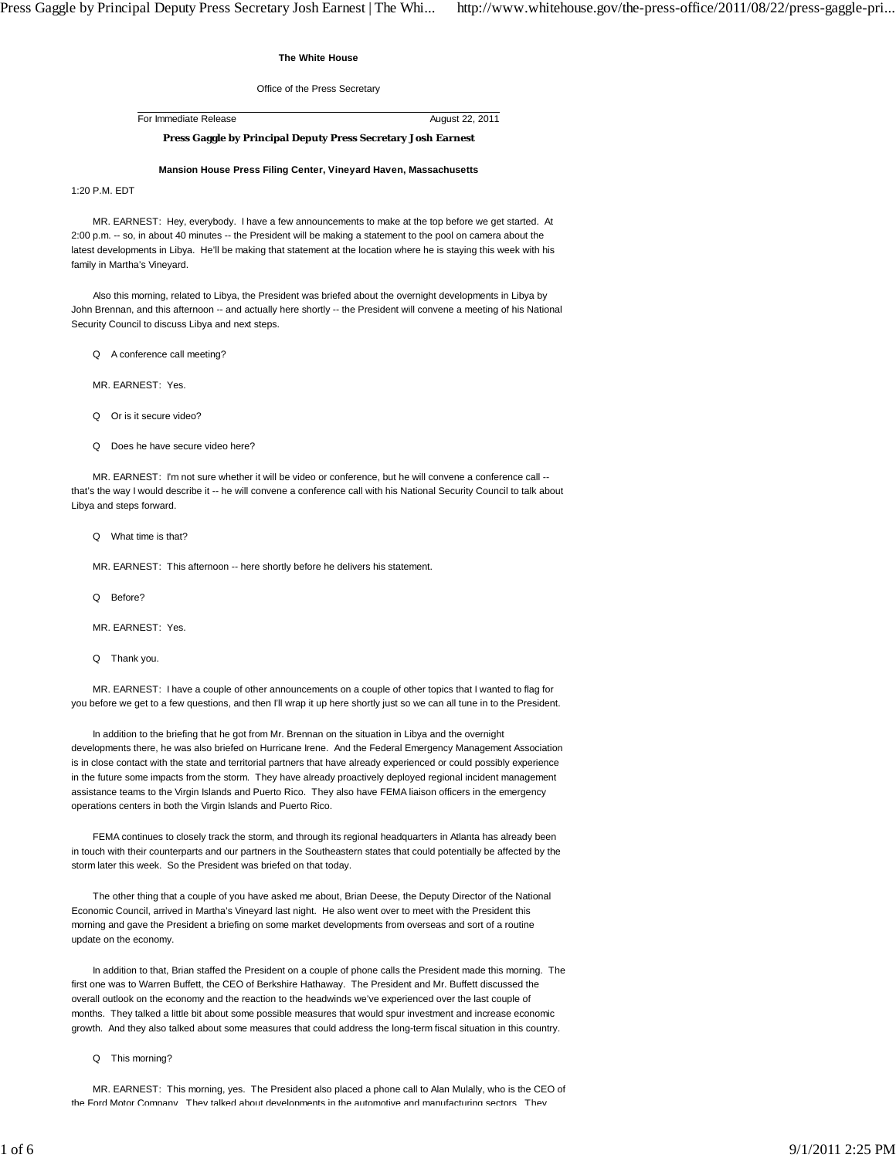## **The White House**

Office of the Press Secretary

For Immediate Release August 22, 2011

## **Press Gaggle by Principal Deputy Press Secretary Josh Earnest**

## **Mansion House Press Filing Center, Vineyard Haven, Massachusetts**

1:20 P.M. EDT

 MR. EARNEST: Hey, everybody. I have a few announcements to make at the top before we get started. At 2:00 p.m. -- so, in about 40 minutes -- the President will be making a statement to the pool on camera about the latest developments in Libya. He'll be making that statement at the location where he is staying this week with his family in Martha's Vineyard.

 Also this morning, related to Libya, the President was briefed about the overnight developments in Libya by John Brennan, and this afternoon -- and actually here shortly -- the President will convene a meeting of his National Security Council to discuss Libya and next steps.

Q A conference call meeting?

MR. EARNEST: Yes.

Q Or is it secure video?

Q Does he have secure video here?

MR. EARNEST: I'm not sure whether it will be video or conference, but he will convene a conference call -that's the way I would describe it -- he will convene a conference call with his National Security Council to talk about Libya and steps forward.

Q What time is that?

MR. EARNEST: This afternoon -- here shortly before he delivers his statement.

Q Before?

MR. EARNEST: Yes.

Q Thank you.

 MR. EARNEST: I have a couple of other announcements on a couple of other topics that I wanted to flag for you before we get to a few questions, and then I'll wrap it up here shortly just so we can all tune in to the President.

In addition to the briefing that he got from Mr. Brennan on the situation in Libya and the overnight developments there, he was also briefed on Hurricane Irene. And the Federal Emergency Management Association is in close contact with the state and territorial partners that have already experienced or could possibly experience in the future some impacts from the storm. They have already proactively deployed regional incident management assistance teams to the Virgin Islands and Puerto Rico. They also have FEMA liaison officers in the emergency operations centers in both the Virgin Islands and Puerto Rico.

 FEMA continues to closely track the storm, and through its regional headquarters in Atlanta has already been in touch with their counterparts and our partners in the Southeastern states that could potentially be affected by the storm later this week. So the President was briefed on that today.

 The other thing that a couple of you have asked me about, Brian Deese, the Deputy Director of the National Economic Council, arrived in Martha's Vineyard last night. He also went over to meet with the President this morning and gave the President a briefing on some market developments from overseas and sort of a routine update on the economy.

 In addition to that, Brian staffed the President on a couple of phone calls the President made this morning. The first one was to Warren Buffett, the CEO of Berkshire Hathaway. The President and Mr. Buffett discussed the overall outlook on the economy and the reaction to the headwinds we've experienced over the last couple of months. They talked a little bit about some possible measures that would spur investment and increase economic growth. And they also talked about some measures that could address the long-term fiscal situation in this country.

## Q This morning?

 MR. EARNEST: This morning, yes. The President also placed a phone call to Alan Mulally, who is the CEO of the Ford Motor Company They talked about developments in the automotive and manufacturing sectors They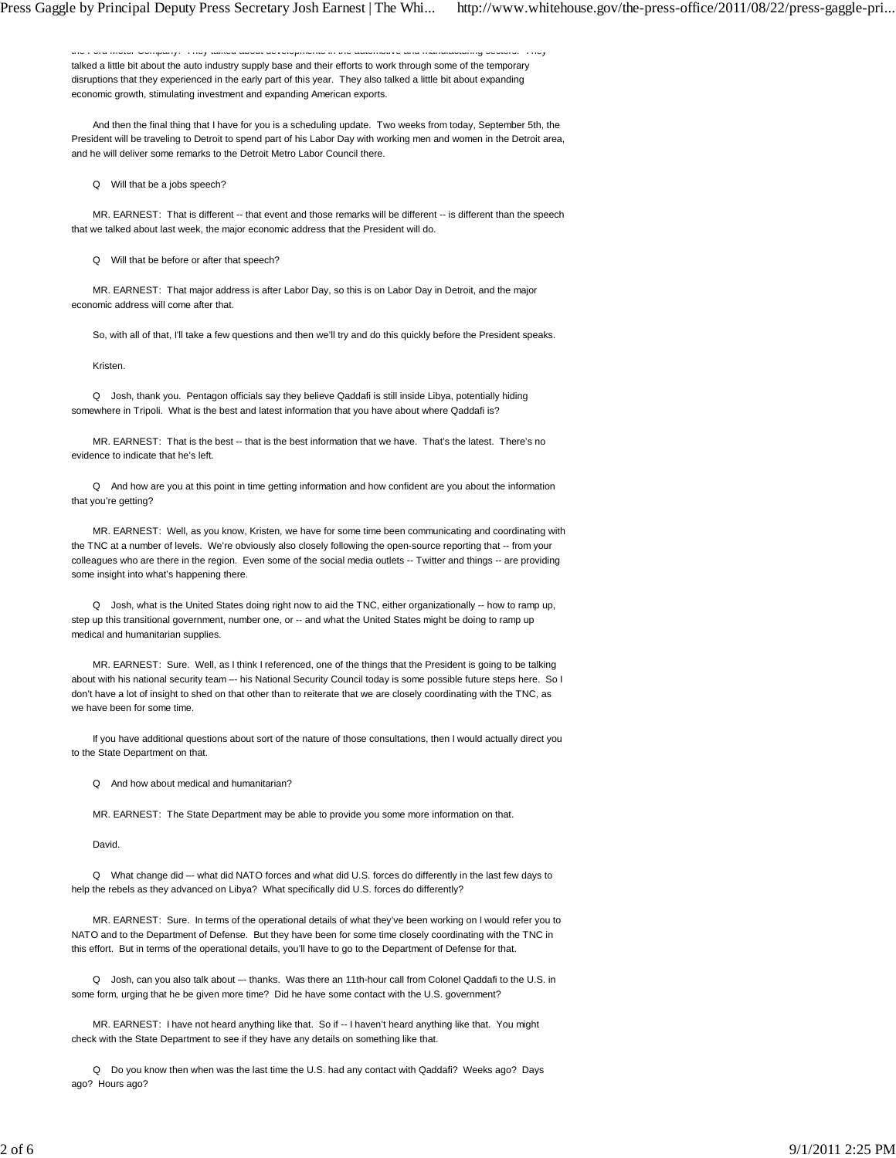the Ford Motor Company. They talked about developments in the automotive and manufacturing sectors. They talked a little bit about the auto industry supply base and their efforts to work through some of the temporary disruptions that they experienced in the early part of this year. They also talked a little bit about expanding economic growth, stimulating investment and expanding American exports.

 And then the final thing that I have for you is a scheduling update. Two weeks from today, September 5th, the President will be traveling to Detroit to spend part of his Labor Day with working men and women in the Detroit area, and he will deliver some remarks to the Detroit Metro Labor Council there.

Q Will that be a jobs speech?

MR. EARNEST: That is different -- that event and those remarks will be different -- is different than the speech that we talked about last week, the major economic address that the President will do.

Q Will that be before or after that speech?

 MR. EARNEST: That major address is after Labor Day, so this is on Labor Day in Detroit, and the major economic address will come after that.

So, with all of that, I'll take a few questions and then we'll try and do this quickly before the President speaks.

Kristen.

 Q Josh, thank you. Pentagon officials say they believe Qaddafi is still inside Libya, potentially hiding somewhere in Tripoli. What is the best and latest information that you have about where Qaddafi is?

 MR. EARNEST: That is the best -- that is the best information that we have. That's the latest. There's no evidence to indicate that he's left.

 Q And how are you at this point in time getting information and how confident are you about the information that you're getting?

 MR. EARNEST: Well, as you know, Kristen, we have for some time been communicating and coordinating with the TNC at a number of levels. We're obviously also closely following the open-source reporting that -- from your colleagues who are there in the region. Even some of the social media outlets -- Twitter and things -- are providing some insight into what's happening there.

 Q Josh, what is the United States doing right now to aid the TNC, either organizationally -- how to ramp up, step up this transitional government, number one, or -- and what the United States might be doing to ramp up medical and humanitarian supplies.

 MR. EARNEST: Sure. Well, as I think I referenced, one of the things that the President is going to be talking about with his national security team –- his National Security Council today is some possible future steps here. So I don't have a lot of insight to shed on that other than to reiterate that we are closely coordinating with the TNC, as we have been for some time.

 If you have additional questions about sort of the nature of those consultations, then I would actually direct you to the State Department on that.

Q And how about medical and humanitarian?

MR. EARNEST: The State Department may be able to provide you some more information on that.

David.

 Q What change did –- what did NATO forces and what did U.S. forces do differently in the last few days to help the rebels as they advanced on Libya? What specifically did U.S. forces do differently?

 MR. EARNEST: Sure. In terms of the operational details of what they've been working on I would refer you to NATO and to the Department of Defense. But they have been for some time closely coordinating with the TNC in this effort. But in terms of the operational details, you'll have to go to the Department of Defense for that.

 Q Josh, can you also talk about –- thanks. Was there an 11th-hour call from Colonel Qaddafi to the U.S. in some form, urging that he be given more time? Did he have some contact with the U.S. government?

 MR. EARNEST: I have not heard anything like that. So if -- I haven't heard anything like that. You might check with the State Department to see if they have any details on something like that.

 Q Do you know then when was the last time the U.S. had any contact with Qaddafi? Weeks ago? Days ago? Hours ago?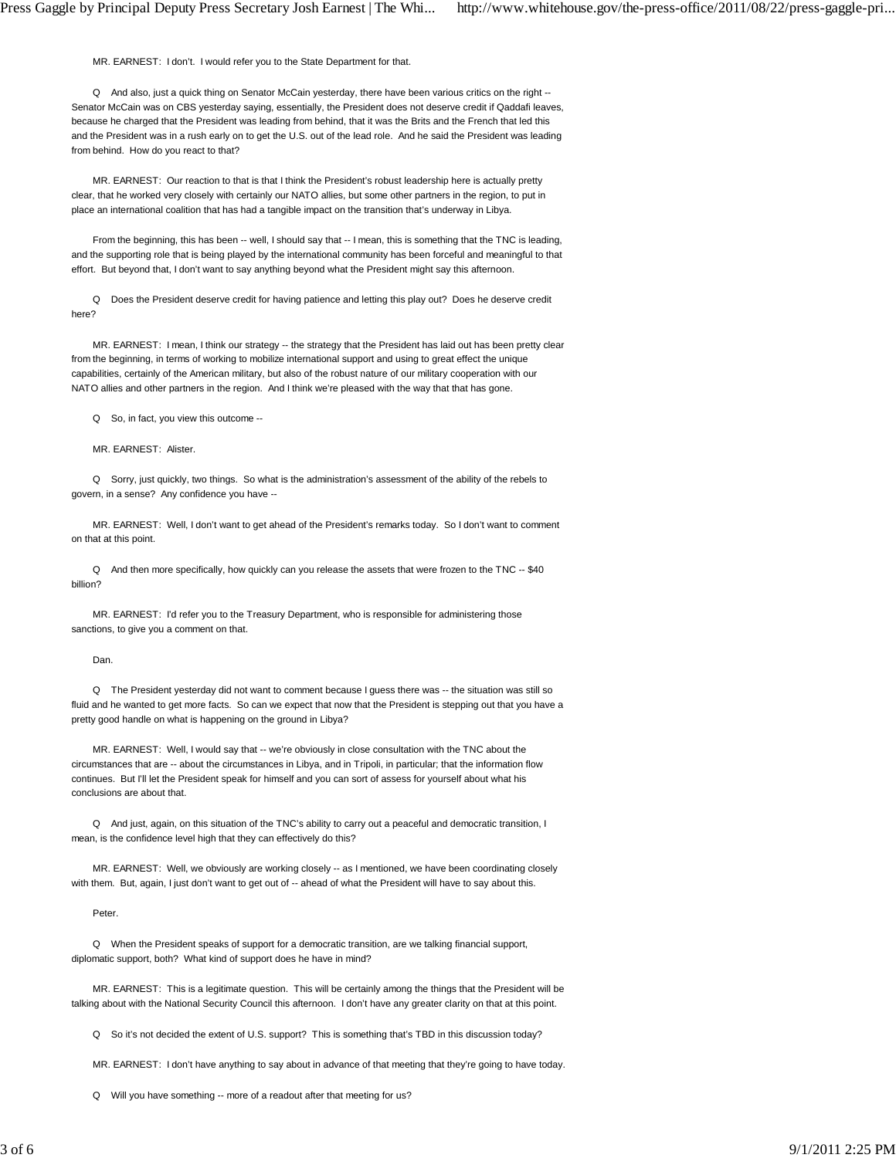MR. EARNEST: I don't. I would refer you to the State Department for that.

 Q And also, just a quick thing on Senator McCain yesterday, there have been various critics on the right -- Senator McCain was on CBS yesterday saying, essentially, the President does not deserve credit if Qaddafi leaves, because he charged that the President was leading from behind, that it was the Brits and the French that led this and the President was in a rush early on to get the U.S. out of the lead role. And he said the President was leading from behind. How do you react to that?

 MR. EARNEST: Our reaction to that is that I think the President's robust leadership here is actually pretty clear, that he worked very closely with certainly our NATO allies, but some other partners in the region, to put in place an international coalition that has had a tangible impact on the transition that's underway in Libya.

 From the beginning, this has been -- well, I should say that -- I mean, this is something that the TNC is leading, and the supporting role that is being played by the international community has been forceful and meaningful to that effort. But beyond that, I don't want to say anything beyond what the President might say this afternoon.

 Q Does the President deserve credit for having patience and letting this play out? Does he deserve credit here?

MR. EARNEST: I mean, I think our strategy -- the strategy that the President has laid out has been pretty clear from the beginning, in terms of working to mobilize international support and using to great effect the unique capabilities, certainly of the American military, but also of the robust nature of our military cooperation with our NATO allies and other partners in the region. And I think we're pleased with the way that that has gone.

Q So, in fact, you view this outcome --

MR. EARNEST: Alister.

 Q Sorry, just quickly, two things. So what is the administration's assessment of the ability of the rebels to govern, in a sense? Any confidence you have --

 MR. EARNEST: Well, I don't want to get ahead of the President's remarks today. So I don't want to comment on that at this point.

 Q And then more specifically, how quickly can you release the assets that were frozen to the TNC -- \$40 billion?

 MR. EARNEST: I'd refer you to the Treasury Department, who is responsible for administering those sanctions, to give you a comment on that.

Dan.

 Q The President yesterday did not want to comment because I guess there was -- the situation was still so fluid and he wanted to get more facts. So can we expect that now that the President is stepping out that you have a pretty good handle on what is happening on the ground in Libya?

MR. EARNEST: Well, I would say that -- we're obviously in close consultation with the TNC about the circumstances that are -- about the circumstances in Libya, and in Tripoli, in particular; that the information flow continues. But I'll let the President speak for himself and you can sort of assess for yourself about what his conclusions are about that.

 Q And just, again, on this situation of the TNC's ability to carry out a peaceful and democratic transition, I mean, is the confidence level high that they can effectively do this?

MR. EARNEST: Well, we obviously are working closely -- as I mentioned, we have been coordinating closely with them. But, again, I just don't want to get out of -- ahead of what the President will have to say about this.

Peter.

 Q When the President speaks of support for a democratic transition, are we talking financial support, diplomatic support, both? What kind of support does he have in mind?

 MR. EARNEST: This is a legitimate question. This will be certainly among the things that the President will be talking about with the National Security Council this afternoon. I don't have any greater clarity on that at this point.

Q So it's not decided the extent of U.S. support? This is something that's TBD in this discussion today?

MR. EARNEST: I don't have anything to say about in advance of that meeting that they're going to have today.

Q Will you have something -- more of a readout after that meeting for us?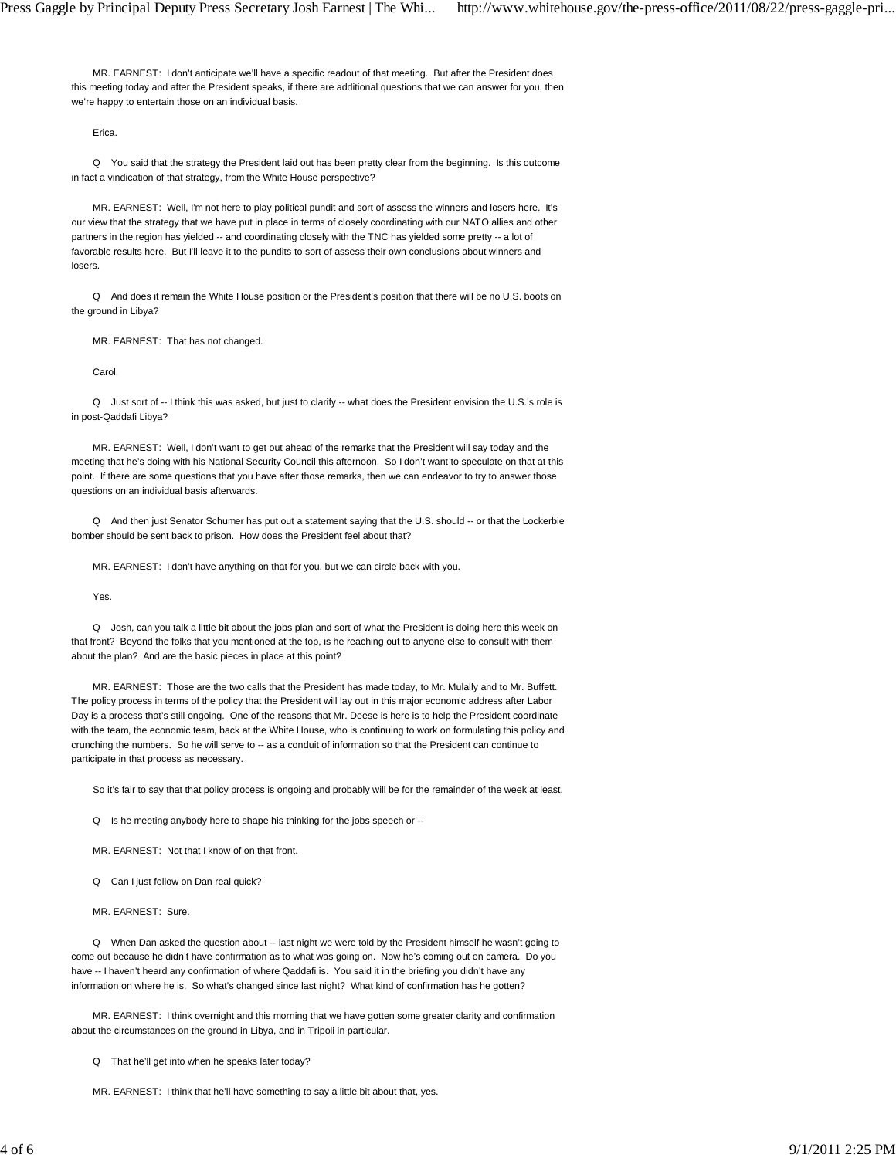MR. EARNEST: I don't anticipate we'll have a specific readout of that meeting. But after the President does this meeting today and after the President speaks, if there are additional questions that we can answer for you, then we're happy to entertain those on an individual basis.

Erica.

 Q You said that the strategy the President laid out has been pretty clear from the beginning. Is this outcome in fact a vindication of that strategy, from the White House perspective?

 MR. EARNEST: Well, I'm not here to play political pundit and sort of assess the winners and losers here. It's our view that the strategy that we have put in place in terms of closely coordinating with our NATO allies and other partners in the region has yielded -- and coordinating closely with the TNC has yielded some pretty -- a lot of favorable results here. But I'll leave it to the pundits to sort of assess their own conclusions about winners and losers.

 Q And does it remain the White House position or the President's position that there will be no U.S. boots on the ground in Libya?

MR. EARNEST: That has not changed.

Carol.

 Q Just sort of -- I think this was asked, but just to clarify -- what does the President envision the U.S.'s role is in post-Qaddafi Libya?

 MR. EARNEST: Well, I don't want to get out ahead of the remarks that the President will say today and the meeting that he's doing with his National Security Council this afternoon. So I don't want to speculate on that at this point. If there are some questions that you have after those remarks, then we can endeavor to try to answer those questions on an individual basis afterwards.

 Q And then just Senator Schumer has put out a statement saying that the U.S. should -- or that the Lockerbie bomber should be sent back to prison. How does the President feel about that?

MR. EARNEST: I don't have anything on that for you, but we can circle back with you.

Yes.

 Q Josh, can you talk a little bit about the jobs plan and sort of what the President is doing here this week on that front? Beyond the folks that you mentioned at the top, is he reaching out to anyone else to consult with them about the plan? And are the basic pieces in place at this point?

 MR. EARNEST: Those are the two calls that the President has made today, to Mr. Mulally and to Mr. Buffett. The policy process in terms of the policy that the President will lay out in this major economic address after Labor Day is a process that's still ongoing. One of the reasons that Mr. Deese is here is to help the President coordinate with the team, the economic team, back at the White House, who is continuing to work on formulating this policy and crunching the numbers. So he will serve to -- as a conduit of information so that the President can continue to participate in that process as necessary.

So it's fair to say that that policy process is ongoing and probably will be for the remainder of the week at least.

Q Is he meeting anybody here to shape his thinking for the jobs speech or --

MR. EARNEST: Not that I know of on that front.

Q Can I just follow on Dan real quick?

MR. EARNEST: Sure.

 Q When Dan asked the question about -- last night we were told by the President himself he wasn't going to come out because he didn't have confirmation as to what was going on. Now he's coming out on camera. Do you have -- I haven't heard any confirmation of where Qaddafi is. You said it in the briefing you didn't have any information on where he is. So what's changed since last night? What kind of confirmation has he gotten?

 MR. EARNEST: I think overnight and this morning that we have gotten some greater clarity and confirmation about the circumstances on the ground in Libya, and in Tripoli in particular.

Q That he'll get into when he speaks later today?

MR. EARNEST: I think that he'll have something to say a little bit about that, yes.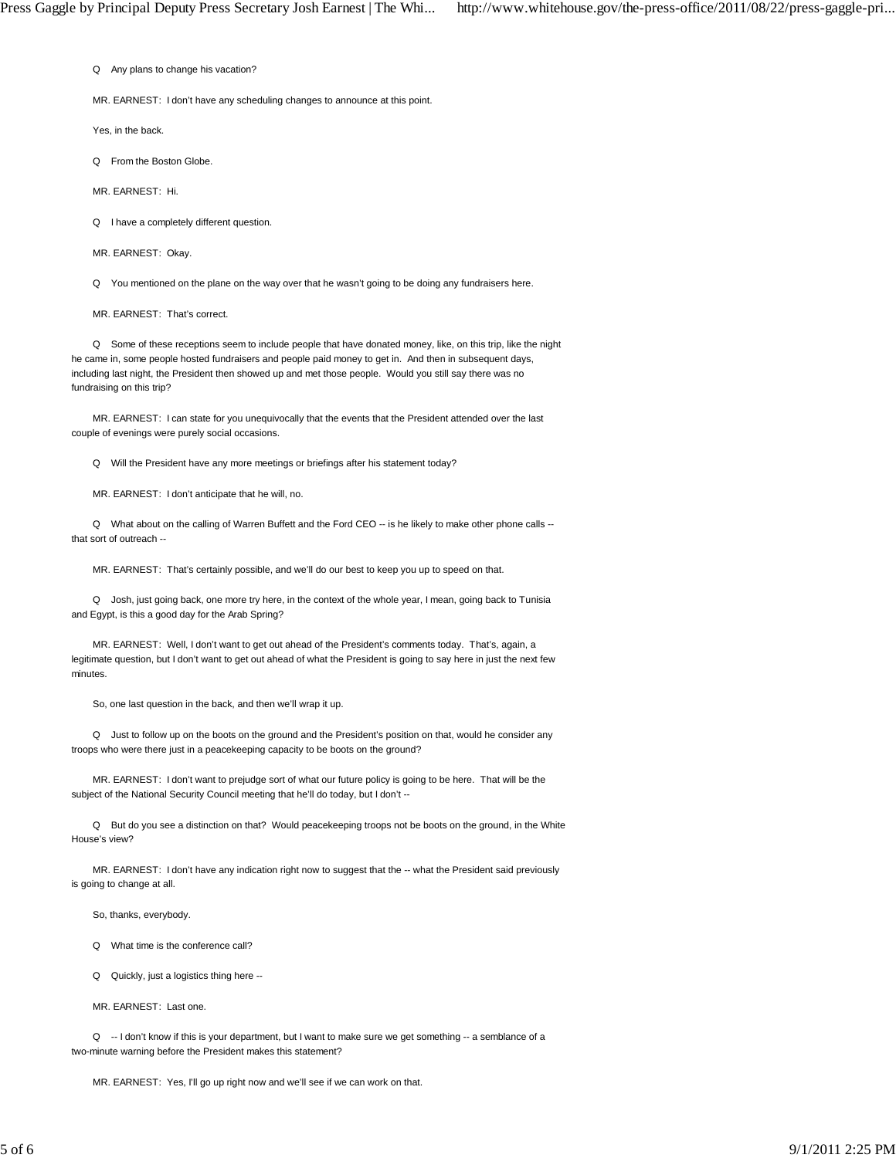Q Any plans to change his vacation?

MR. EARNEST: I don't have any scheduling changes to announce at this point.

Yes, in the back.

Q From the Boston Globe.

MR. EARNEST: Hi.

Q I have a completely different question.

MR. EARNEST: Okay.

Q You mentioned on the plane on the way over that he wasn't going to be doing any fundraisers here.

MR. EARNEST: That's correct.

 Q Some of these receptions seem to include people that have donated money, like, on this trip, like the night he came in, some people hosted fundraisers and people paid money to get in. And then in subsequent days, including last night, the President then showed up and met those people. Would you still say there was no fundraising on this trip?

 MR. EARNEST: I can state for you unequivocally that the events that the President attended over the last couple of evenings were purely social occasions.

Q Will the President have any more meetings or briefings after his statement today?

MR. EARNEST: I don't anticipate that he will, no.

Q What about on the calling of Warren Buffett and the Ford CEO -- is he likely to make other phone calls -that sort of outreach --

MR. EARNEST: That's certainly possible, and we'll do our best to keep you up to speed on that.

 Q Josh, just going back, one more try here, in the context of the whole year, I mean, going back to Tunisia and Egypt, is this a good day for the Arab Spring?

 MR. EARNEST: Well, I don't want to get out ahead of the President's comments today. That's, again, a legitimate question, but I don't want to get out ahead of what the President is going to say here in just the next few minutes.

So, one last question in the back, and then we'll wrap it up.

 Q Just to follow up on the boots on the ground and the President's position on that, would he consider any troops who were there just in a peacekeeping capacity to be boots on the ground?

 MR. EARNEST: I don't want to prejudge sort of what our future policy is going to be here. That will be the subject of the National Security Council meeting that he'll do today, but I don't --

 Q But do you see a distinction on that? Would peacekeeping troops not be boots on the ground, in the White House's view?

 MR. EARNEST: I don't have any indication right now to suggest that the -- what the President said previously is going to change at all.

So, thanks, everybody.

Q What time is the conference call?

Q Quickly, just a logistics thing here --

MR. EARNEST: Last one.

Q -- I don't know if this is your department, but I want to make sure we get something -- a semblance of a two-minute warning before the President makes this statement?

MR. EARNEST: Yes, I'll go up right now and we'll see if we can work on that.